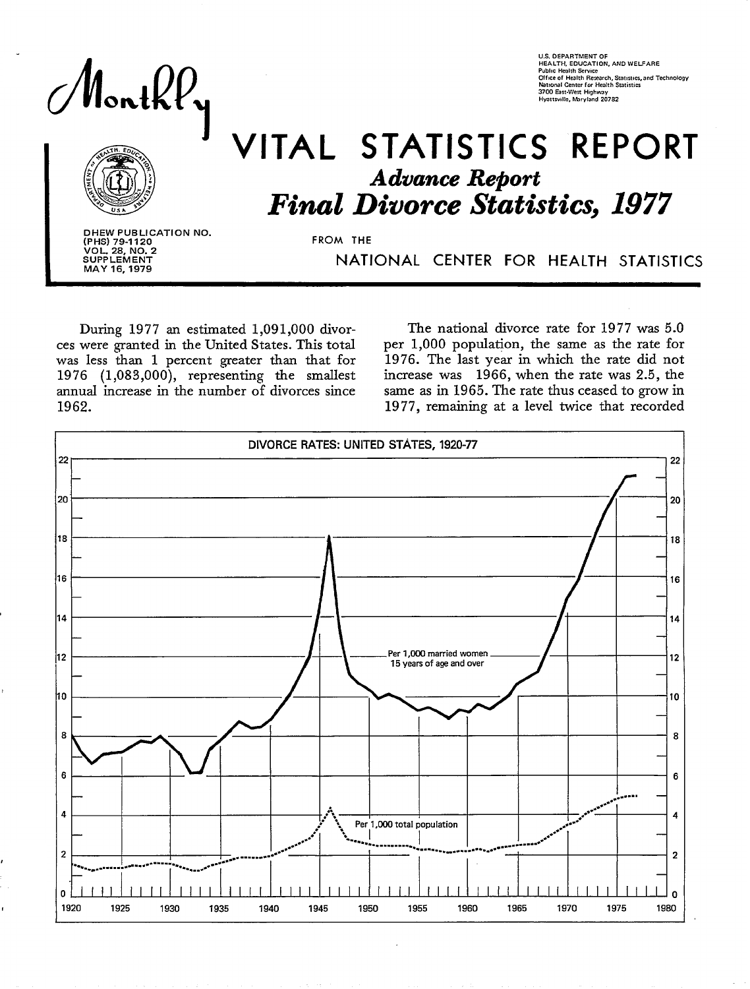

# VITAL STATISTICS REPORT **Advance Report Final Divorce Statistics, 1977**

DHEW PUBLICATION NO. (PHS) 79-1120<br>VOL. 28, NO. 2<br>SUPPLEMENT MAY 16, 1979

FROM THE

NATIONAL CENTER FOR HEALTH STATISTICS

During 1977 an estimated 1,091,000 divorces were granted in the United States. This total was less than 1 percent greater than that for 1976 (1,083,000), representing the smallest annual increase in the number of divorces since 1962.

The national divorce rate for 1977 was 5.0 per 1,000 population, the same as the rate for 1976. The last year in which the rate did not increase was 1966, when the rate was 2.5, the same as in 1965. The rate thus ceased to grow in 1977, remaining at a level twice that recorded



U.S. DEPARTMENT OF<br>HEALTH, EDUCATION, AND WELFARE<br>Public Health Service<br>Office of Health Rezearch, Statistics, and Technology<br>National Center for Health Statistics<br>3700 East-West Highway<br>Hyattsville, Maryland 20782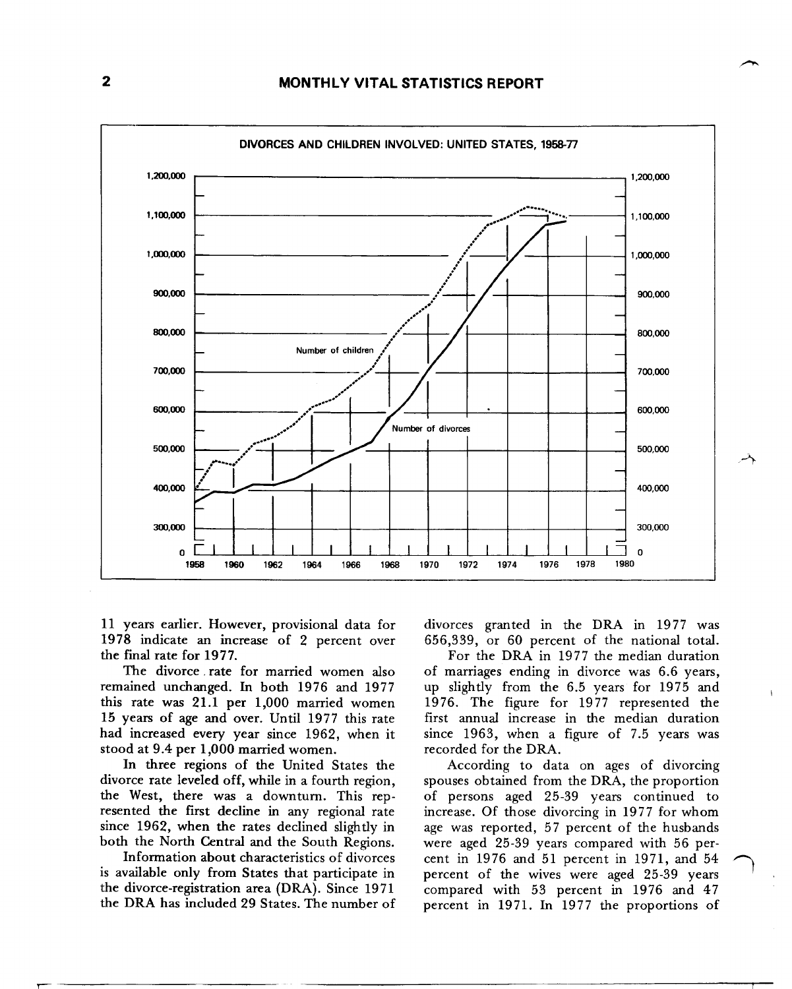

11 years earlier. However, provisional data for 1978 indicate an increase of 2 percent over the final rate for 1977.

The divorce rate for married women also remained unchanged. In both 1976 and 1977 this rate was 21.1 per 1,000 married women 15 years of age and over. Until 1977 this rate had increased every year since 1962, when it stood at 9.4 per 1,000 married women.

In three regions of the United States the divorce rate leveled off, while in a fourth region, the West, there was a downturn. This represented the first decline in any regional rate since 1962, when the rates declined slightly in both the North Central and the South Regions.

Information about characteristics of divorces is available only from States that participate in the divorce-registration area (DRA). Since 1971 the DRA has included 29 States. The number of divorces granted in the DRA in 1977 was 656,339, or 60 percent of the national total.

For the DRA in 1977 the median duration of marriages ending in divorce was 6.6 years, up slightly from the 6.5 years for 1975 and 1976. The figure for 1977 represented the first annual increase in the median duration since 1963, when a figure of 7.5 years was recorded for the DRA.

According to data on ages of divorcing spouses obtained from the DRA, the proportion of persons aged 25-39 years continued to increase. Of those divorcing in 1977 for whom age was reported, 57 percent of the husbands were aged 25-39 years compared with 56 percent in 1976 and 51 percent in 1971, and 54 percent of the wives were aged 25-39 years compared with 53 percent in 1976 and 47 percent in 1971. In 1977 the proportions of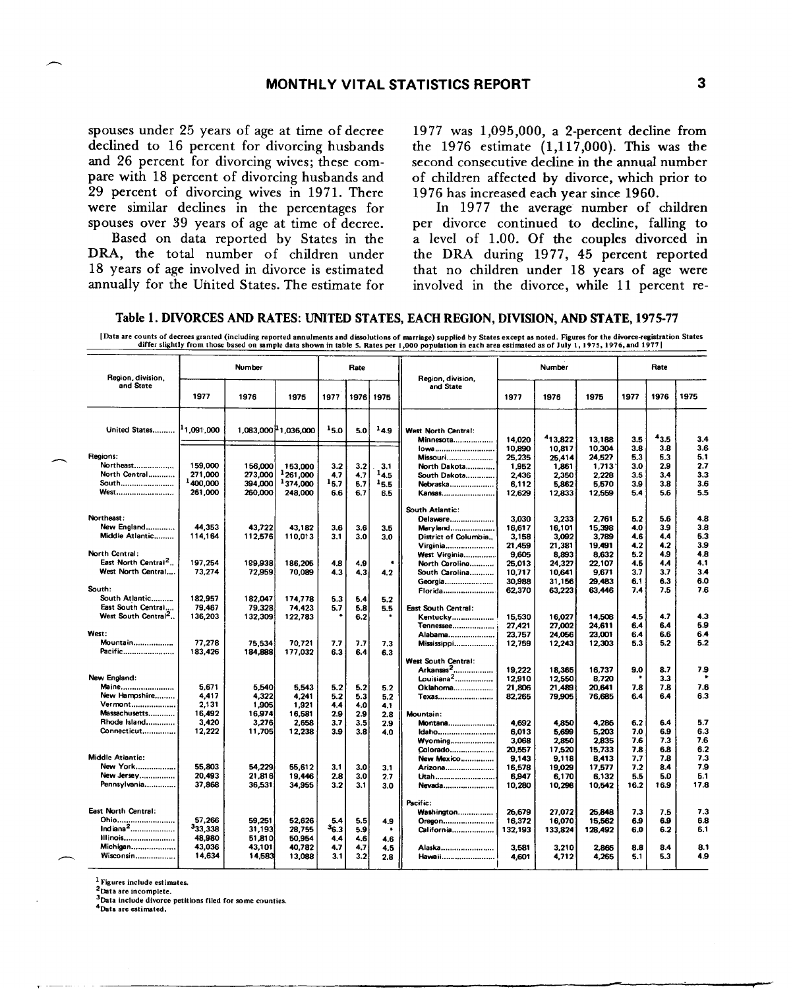spouses under 25 years of age at time of decree declined to 16 percent for divorcing husbands and 26 percent for divorcing wives; these compare with 18 percent of divorcing husbands and 29 percent of divorcing wives in 1971. There were similar declines in the percentages for spouses over 39 years of age at time of decree.

Based on data reported by States in the DRA, the total number of children under 18 vears of age involved in divorce is estimated annually for the United States. The estimate for

1977 was 1,095,000, a 2-percent decline from the 1976 estimate  $(1,117,000)$ . This was the second consecutive decline in the annual number of children affected by divorce, which prior to 1976 has increased each year since 1960.

In 1977 the average number of children per divorce continued to decline, falling to a level of 1.00. Of the couples divorced in the DRA during 1977, 45 percent reported that no children under 18 years of age were involved in the divorce, while 11 percent re-

|  |  | Table 1. DIVORCES AND RATES: UNITED STATES. EACH REGION. DIVISION. AND STATE. 1975-77 |
|--|--|---------------------------------------------------------------------------------------|
|--|--|---------------------------------------------------------------------------------------|

[Data are counts of decrees granted (including reported annulments and dissolutions of marriage) supplied by States except as noted. Figures for the divorce-registration States differ slightly from those based on sample da

| Region, division.                 |          | Number            |                                  |            | Rate       |           | Number<br>Region, division, |         | Rate    |         |      |            |            |
|-----------------------------------|----------|-------------------|----------------------------------|------------|------------|-----------|-----------------------------|---------|---------|---------|------|------------|------------|
| and State                         | 1977     | 1976              | 1975                             | 1977       |            | 1976 1975 | and State                   | 1977    | 1976    | 1975    | 1977 | 1976       | 1975       |
| United States   1,091,000         |          |                   | 1.083,000 <sup>1</sup> 1,036,000 | 15.0       | 5.0        | $^{14.9}$ | West North Central:         |         |         |         |      |            |            |
|                                   |          |                   |                                  |            |            |           | <b>Minnesota</b>            | 14.020  | 413,822 | 13,188  | 3.5  | 43.5       | 3.4        |
|                                   |          |                   |                                  |            |            |           | 10wa                        | 10,890  | 10,817  | 10,304  | 3.8  | 3.8        | 3.6        |
| Regions:                          |          |                   |                                  |            |            |           | Missouri                    | 25.235  | 25,414  | 24.527  | 5.3  | 5.3        | 5.1        |
| Northeast                         | 159,000  | 156,000           | 153,000                          | 3.2        | 3.2        | 3.1       | North Dakota                | 1.952   | 1,861   | 1.713   | 3.0  | 2.9        | 2.7        |
| North Central                     | 271,000  | 273,000           | 261,000                          | 47         | 4.7        | 14.5      | South Dakota                | 2,436   | 2,350   | 2.228   | 3.5  | 3.4        | 3.3        |
| South                             | 1400,000 | 394,000           | <sup>1</sup> 374,000             | 15.7       | 5.7        | 15.5      | Nebraska                    | 6.112   | 5.862   | 5.570   | 3.9  | 3.8        | 3.6        |
| <b>West</b>                       | 261,000  | 260.000           | 248,000                          | 6.6        | 6.7        | 6.5       | Kansas                      | 12.629  | 12,833  | 12.559  | 5.4  | 5.6        | 5.5        |
|                                   |          |                   |                                  |            |            |           | South Atlantic:             |         |         |         |      |            |            |
| Northeast:                        |          |                   |                                  |            |            |           | Delawere                    | 3.030   | 3.233   | 2.761   | 5.2  | 5.6        | 4.8        |
| New England                       | 44.353   | 43,722            | 43,182                           | 3.6        | 3.6        | 3.5       | Maryland                    | 16,617  | 16,101  | 15,398  | 4.0  | 3.9        | 3.8        |
| Middle Atlantic                   | 114,164  | 112,576           | 110,013                          | 3.1        | 3.0        | 3.0       | District of Columbia        | 3,158   | 3,092   | 3,789   | 4.6  | 4.4        | 5.3        |
|                                   |          |                   |                                  |            |            |           | Virginia                    | 21,459  | 21,381  | 19,491  | 4.2  | 4.2        | 3.9        |
| North Central:                    |          |                   |                                  |            |            |           | West Virginia               | 9,605   | 8,893   | 8,632   | 5.2  | 4.9        | 4.8        |
| East North Central <sup>2</sup> . | 197,254  | 199,938           | 186,205                          | 4.8        | 4.9        |           | North Carolina              | 25,013  | 24,327  | 22.107  | 4.5  | 4.4        | 4,1        |
| West North Central                | 73.274   | 72,959            | 70,089                           | 4.3        | 4.3        | 4.2       | South Carolina              | 10.717  | 10.641  | 9.671   | 3.7  | 3.7        | 3.4        |
|                                   |          |                   |                                  |            |            |           | Georgia                     | 30,988  | 31,156  | 29.483  | 6.1  | 6.3        | 6.0        |
| South:                            |          |                   |                                  |            |            |           | Florida                     | 62,370  | 63,223  | 63.446  | 7.4  | 7.5        | 7.6        |
| South Atlantic                    | 182.957  | 182,047           | 174.778                          | 5.3        | 5.4        | 5.2       |                             |         |         |         |      |            |            |
| East South Central                | 79.467   | 79,328            | 74,423                           | 5.7        | 5.8        | 5.5       | East South Central:         |         |         |         |      |            |            |
| West South Central <sup>2</sup>   | 136.203  | 132,309           | 122,783                          |            | 6.2        |           | Kentucky                    | 15.530  | 16.027  | 14.508  | 4.5  | 4.7        | 4.3        |
| West:                             |          |                   |                                  |            |            |           | Tennessee                   | 27,421  | 27,002  | 24.611  | 6.4  | 6.4        | 5.9        |
|                                   | 77.278   |                   |                                  |            |            |           | Alabama                     | 23,757  | 24,056  | 23,001  | 6.4  | 6.6<br>5.2 | 6.4<br>5.2 |
| Mountain<br>Pacific               | 183,426  | 75.534<br>184,888 | 70,721<br>177.032                | 7,7<br>6.3 | 7.7<br>6.4 | 7.3       | <b>Mississippi</b>          | 12,759  | 12,243  | 12,303  | 5.3  |            |            |
|                                   |          |                   |                                  |            |            | 6.3       | West South Central:         |         |         |         |      |            |            |
|                                   |          |                   |                                  |            |            |           | Arkansas <sup>2</sup>       | 19.222  | 18.365  | 16.737  | 9.0  | 8.7        | 7.9        |
| New England:                      |          |                   |                                  |            |            |           | Louisiana <sup>2</sup>      | 12,910  | 12,550  | 8.720   |      | 3.3        |            |
| Maine                             | 5.671    | 5.540             | 5.543                            | 5.2        | 5.2        | 5.2       | Oklahoma                    | 21,806  | 21,489  | 20.641  | 7.8  | 7.8        | 7.6        |
| New Hampshire                     | 4.417    | 4,322             | 4.241                            | 5.2        | 5.3        | 5.2       | Texas                       | 82,265  | 79,905  | 76,685  | 6.4  | 6.4        | 6.3        |
| Vermont                           | 2.131    | 1,905             | 1,921                            | 4.4        | 4.0        | 4.1       |                             |         |         |         |      |            |            |
| Massachusetts                     | 16.492   | 16,974            | 16,581                           | 2.9        | 2.9        | 2.8       | Mountain:                   |         |         |         |      |            |            |
| Rhode Island                      | 3.420    | 3.276             | 2,658                            | 3.7        | 3.5        | 2.9       | Montana                     | 4.692   | 4,850   | 4.286   | 6.2  | 6.4        | 5.7        |
| Connecticut                       | 12,222   | 11,705            | 12,238                           | 3.9        | 3.8        | 4.0       | Idaho                       | 6.013   | 5.699   | 5.203   | 7.0  | 6.9        | 6.3        |
|                                   |          |                   |                                  |            |            |           | <b>Wvoming</b>              | 3,068   | 2,850   | 2.835   | 7.6  | 7.3        | 7.6        |
|                                   |          |                   |                                  |            |            |           | Colorado                    | 20,557  | 17.520  | 15.733  | 7.8  | 6.8        | 6.2        |
| Middle Atlantic:                  |          |                   |                                  |            |            |           | <b>New Mexico</b>           | 9.143   | 9,118   | 8,413   | 7.7  | 7.8        | 7,3        |
| New York                          | 55,803   | 54,229            | 55,612                           | 3.1        | 3.0        | 3.1       | Arizona                     | 16,578  | 19,029  | 17,577  | 7.2  | 8.4        | 7.9        |
| New Jersey                        | 20.493   | 21,816            | 19,446                           | 2.8        | 3.0        | 2.7       | <u>Utah</u>                 | 6.947   | 6.170   | 6.132   | 5.5  | 5.0        | 5.1        |
| Pennsylvania                      | 37.868   | 36,531            | 34,955                           | 3.2        | 3.1        | 3.0       | Nevada                      | 10,280  | 10,296  | 10.542  | 16.2 | 16.9       | 17.8       |
|                                   |          |                   |                                  |            |            |           | Pacific:                    |         |         |         |      |            |            |
| East North Central:               |          |                   |                                  |            |            |           | Washington                  | 26,679  | 27.072  | 25.848  | 7.3  | 7.5        | 7.3        |
| Ohio                              | 57,266   | 59,251            | 52,626                           | 5.4        | 5.5        | 4.9       | Oregon                      | 16,372  | 16,070  | 15,562  | 6.9  | 6.9        | 6.8        |
| Indiana <sup>2</sup>              | 333,338  | 31,193            | 28.755                           | $^{3}6.3$  | 5.9        | $\bullet$ | California                  | 132,193 | 133.824 | 128,492 | 60   | 6.2        | 6.1        |
| Illinois                          | 48,980   | 51,810            | 50.954                           | 4.4        | 4.6        | 4.6       |                             |         |         |         |      |            |            |
| Michigan                          | 43.036   | 43,101            | 40.782                           | 4.7        | 4.7        | 4.5       | Alaska                      | 3.581   | 3.210   | 2,865   | 8.8  | 8.4        | 8.1        |
| Wisconsin                         | 14.634   | 14,583            | 13,088                           | 3.1        | 3.2        | 2.8       | Hawaii                      | 4,601   | 4.712   | 4,265   | 5.1  | 5.3        | 4.9        |
|                                   |          |                   |                                  |            |            |           |                             |         |         |         |      |            |            |

<sup>1</sup> Figures include estimates.

<sup>2</sup>Data are incomplete.

<sup>3</sup>Data include divorce petitions filed for some counties.

<sup>4</sup>Data are estimated,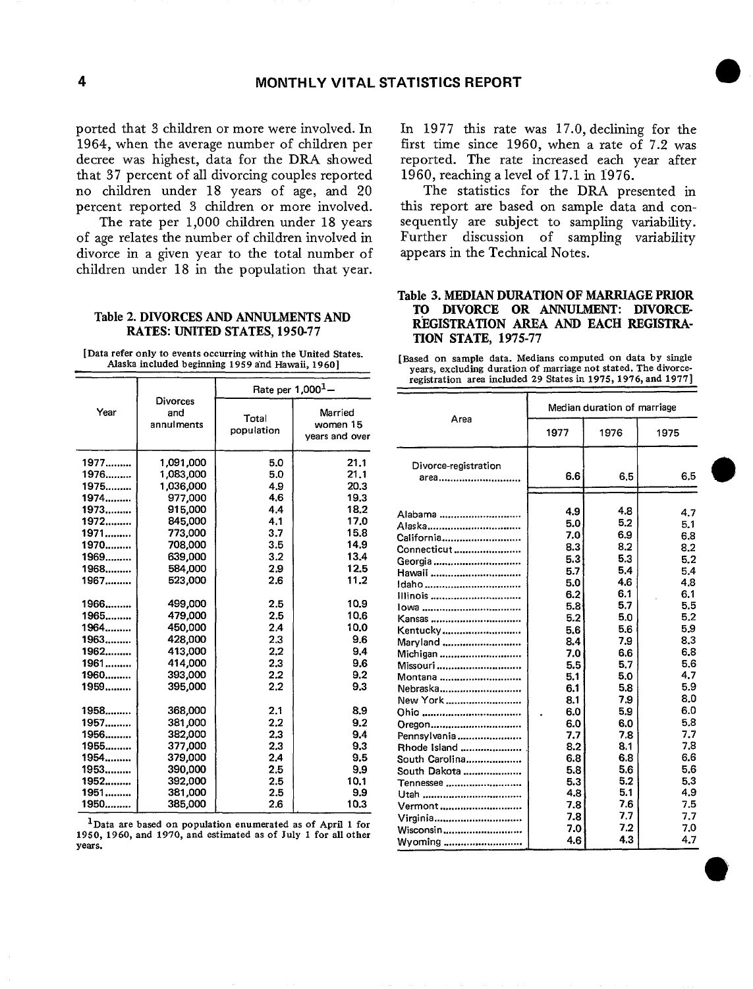ported that 3 children or more were involved. In 1964, when the average number of children per decree was highest, data for the DRA showed that 37 percent of all divorcing couples reported no children under 18 years of age, and 20 percent reported 3 children or more involved.

The rate per 1,000 children under 18 years of age relates the number of children involved in divorce in a given year to the total number of children under 18 in the population that year.

#### Table 2. DIVORCES AND ANNULMENTS AND RATES: UNITED STATES, 1950-77

[Data refer only to events occurring within the United States. **Alaska included beginning 1959 a'nd Hawaii,** 1960]

|                      |                                     | Rate per $1,000^1 -$ |                                       |  |  |  |
|----------------------|-------------------------------------|----------------------|---------------------------------------|--|--|--|
| Year                 | Divorces<br>and<br>annulments       | Total<br>population  | Married<br>women 15<br>vears and over |  |  |  |
| 1977<br>1976<br>1975 | 1,091,000<br>1,083,000<br>1,036,000 | 5.0<br>5.0<br>4.9    | 21.1<br>21.1<br>20.3                  |  |  |  |
| 1974                 | 977,000                             | 4.6                  | 19.3                                  |  |  |  |
| 1973                 | 915,000                             | 4.4                  | 18.2                                  |  |  |  |
| 1972                 | 845,000                             | 4.1                  | 17.0                                  |  |  |  |
| 1971                 | 773,000                             | 3.7                  | 15.8                                  |  |  |  |
| 1970                 | 708,000                             | 3.5                  | 14.9                                  |  |  |  |
| 1969                 | 639,000                             | 3.2                  | 13.4                                  |  |  |  |
| 1968                 | 584,000                             | 2.9                  | 12.5                                  |  |  |  |
| 1967                 | 523,000                             | 2.6                  | 11.2                                  |  |  |  |
| 1966                 | 499,000                             | 2.5                  | 10.9                                  |  |  |  |
| 1965                 | 479,000                             | 2.5                  | 10.6                                  |  |  |  |
| 1964                 | 450,000                             | 2.4                  | 10.0                                  |  |  |  |
| 1963                 | 428,000                             | 2.3                  | 9.6                                   |  |  |  |
| 1962                 | 413,000                             | 2,2                  | 9,4                                   |  |  |  |
| 1961                 | 414,000                             | 2.3                  | 9.6                                   |  |  |  |
| 1960                 | 393,000                             | 2.2                  | 9.2                                   |  |  |  |
| 1959                 | 395,000                             | 2.2                  | 9.3                                   |  |  |  |
| 1958                 | 368,000                             | 2.1                  | 8.9                                   |  |  |  |
| 1957                 | 381,000                             | 2.2                  | 9.2                                   |  |  |  |
| 1956                 | 382,000                             | 2.3                  | 9.4                                   |  |  |  |
| 1955                 | 377,000                             | 2.3                  | 9.3                                   |  |  |  |
| 1954                 | 379,000                             | 2.4                  | 9.5                                   |  |  |  |
| 1953                 | 390,000                             | 2.5                  | 9.9                                   |  |  |  |
| 1952                 | 392,000                             | 2.5                  | 10.1                                  |  |  |  |
| 1951                 | 381,000                             | 2.5                  | 9.9                                   |  |  |  |
| 1950                 | 385,000                             | 2.6                  | 10.3                                  |  |  |  |

<sup>1</sup>Data are based on population enumerated as of April 1 for 1950, 1960, and 1970, and estimated as of July 1 for all other **years.** 

In 1977 this rate was 17.0, declining for the first time since 1960, when a rate of 7.2 was reported. The rate increased each year after 1960, reaching a level of 17.1 in 1976.

The statistics for the DRA presented in this report are based on sample data and consequently are subject to sampling variability. Further discussion of sampling variability appears in the Technical Notes.

# Table 3. MEDIAN DURATION OF MARRIAGE PRIOR TO DIVORCE OR ANNULMENT: DIVORCE REGISTRATION AREA AND EACH REGISTRA-TION STATE, 1975-77

[Based on sample data. Medians computed on data by single years, excluding duration of marriage not stated. The divorceregistration area included 29 States in 1975, 1976, and 1977]

|                      | Median duration of marriage |      |      |  |  |  |
|----------------------|-----------------------------|------|------|--|--|--|
| Area                 | 1977                        | 1976 | 1975 |  |  |  |
| Divorce-registration |                             |      |      |  |  |  |
| area <b></b>         | 6.6                         | 6.5  | 6.5  |  |  |  |
|                      |                             |      |      |  |  |  |
| Alabama              | 4.9                         | 4.8  | 4.7  |  |  |  |
| Alaska               | 5.0                         | 5.2  | 5.1  |  |  |  |
| California           | 7.0                         | 6.9  | 6.8  |  |  |  |
| Connecticut          | 8.3                         | 8.2  | 8.2  |  |  |  |
| Georgia              | 5.3                         | 5.3  | 5.2  |  |  |  |
| Hawaii               | 5.7                         | 5.4  | 5.4  |  |  |  |
| Idaho                | 5.0                         | 4.6  | 4.8  |  |  |  |
| illinois             | 6.2                         | 6.1  | 6.1  |  |  |  |
|                      | 5.8 <sub>2</sub>            | 5.7  | 5.5  |  |  |  |
| Kansas               | 5.2                         | 5.0  | 5.2  |  |  |  |
| Kentucky             | 5.6                         | 5.6  | 59   |  |  |  |
| Maryland             | 8.4                         | 7.9  | 8.3  |  |  |  |
| Michigan             | 7.0                         | 6.6  | 6.8  |  |  |  |
| Missouri             | 5.5                         | 5.7  | 5.6  |  |  |  |
| Montana              | 5.1                         | 5.0  | 4.7  |  |  |  |
| Nebraska             | 6.1                         | 5.8  | 5.9  |  |  |  |
| New York             | 8.1                         | 7.9  | 8.0  |  |  |  |
| Ohio                 | 6.0                         | 5.9  | 6.0  |  |  |  |
| Oregon               | 6.0                         | 6.0  | 5.8  |  |  |  |
| Pennsylvania         | 7.7                         | 7.8  | 7.7  |  |  |  |
| Rhode Island         | 8.2                         | 8.1  | 7.8  |  |  |  |
| South Carolina       | 6.8                         | 6.8  | 6.6  |  |  |  |
| South Dakota         | 5.8                         | 5.6  | 5.6  |  |  |  |
| Tennessee            | 5.3                         | 5.2  | 5.3  |  |  |  |
|                      | 4.8                         | 5.1  | 4.9  |  |  |  |
| Vermont              | 7.8                         | 7.6  | 7.5  |  |  |  |
| Virginia             | 7.8                         | 7.7  | 7.7  |  |  |  |
| Wisconsin            | 7.0                         | 7.2  | 7.0  |  |  |  |
| Wyoming              | 4.6                         | 4.3  | 4.7  |  |  |  |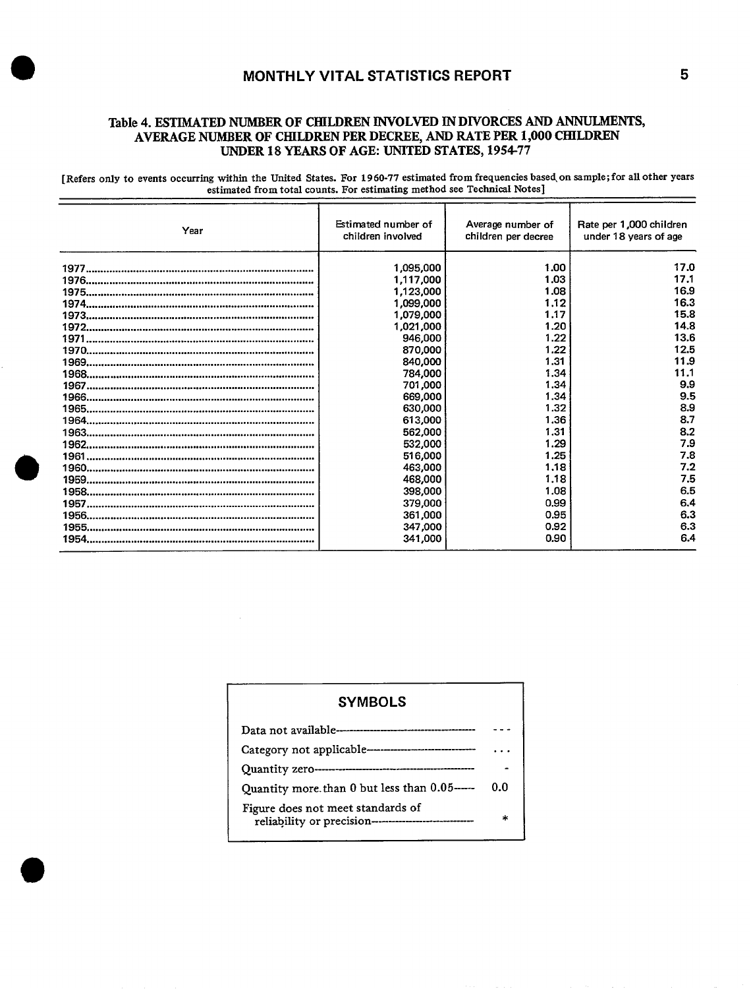# **MONTHLY VITAL STATISTICS REPORT 5**

# **Table 4. ESTIMATED NUMBER OF CHILDREN INVOLVED IN DIVORCES AND ANNULMENTS, AVERAGE NUMBER OF CHILDREN PER DECREE, AND RATE PER 1,000 CHILDREN UNDER 18 YEARS OF AGE: UNITED STATES, 1954-77**

[Refers only to events occurring within the United States. For 1960-77 estimated from frequencies based on sample; for all other years estimated from total counts. For estimating method see Technical Notes]

| Year | Estimated number of<br>children involved | Average number of<br>children per decree | Rate per 1,000 children<br>under 18 years of age |
|------|------------------------------------------|------------------------------------------|--------------------------------------------------|
|      | 1,095,000                                | 1.00                                     | 17.0                                             |
|      | 1,117,000                                | 1.03                                     | 17.1                                             |
|      | 1,123,000                                | 1.08                                     | 16.9                                             |
|      | 1,099,000                                | 1.12                                     | 16.3                                             |
|      | 1,079,000                                | 1.17                                     | 15.8                                             |
|      | 1,021,000                                | 1.20                                     | 14.8                                             |
|      | 946,000                                  | 1.22                                     | 13.6                                             |
|      | 870,000                                  | 1.22                                     | 12.5                                             |
|      | 840,000                                  | 1.31                                     | 11.9                                             |
|      | 784,000                                  | 1.34                                     | 11.1                                             |
|      | 701,000                                  | 1.34                                     | 9.9                                              |
|      | 669,000                                  | 1.34                                     | 9.5                                              |
|      | 630,000                                  | 1.32                                     | 8.9                                              |
|      | 613,000                                  | 1,36                                     | 8.7                                              |
|      | 562,000                                  | 1.31                                     | 8.2                                              |
|      | 532,000                                  | 1.29                                     | 7.9                                              |
|      | 516,000                                  | 1.25                                     | 7.8                                              |
|      | 463,000                                  | 1.18                                     | 7.2                                              |
|      | 468,000                                  | 1.18                                     | 7.5                                              |
|      | 398,000                                  | 1.08                                     | 6.5                                              |
|      | 379,000                                  | 0.99                                     | 6.4                                              |
|      | 361,000                                  | 0.95                                     | 6.3                                              |
|      | 347,000                                  | 0.92                                     | 6.3                                              |
|      | 341.000                                  | 0.90                                     | 6.4                                              |

| <b>SYMBOLS</b>                                                                                |     |
|-----------------------------------------------------------------------------------------------|-----|
|                                                                                               |     |
|                                                                                               |     |
|                                                                                               |     |
| Quantity more than 0 but less than 0.05-----                                                  | 0.በ |
| Figure does not meet standards of<br>reliability or precision-------------------------------- | ÷   |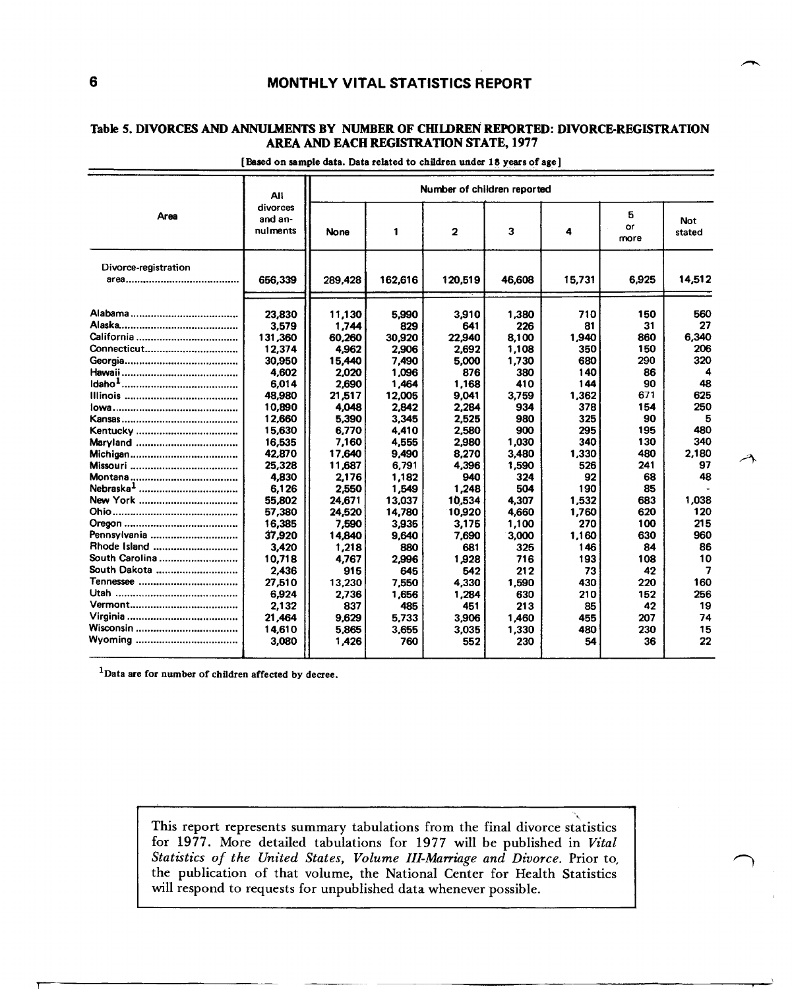# **6 MONTHLY VITAL STATISTICS REPORT**

# Table 5. DIVORCES AND ANNULMENTS BY NUMBER OF CHILDREN REPORTED: DIVORCE-REGISTRATION **AREA AND EACH REGISTRATION STATE, 1977**

|                      | <b>All</b>                      | Number of children reported |         |              |        |        |                 |                |  |
|----------------------|---------------------------------|-----------------------------|---------|--------------|--------|--------|-----------------|----------------|--|
| <b>Area</b>          | divorces<br>and an-<br>nulments | <b>None</b>                 | 1       | $\mathbf{2}$ | 3      | 4      | 5<br>or<br>more | Not.<br>stated |  |
| Divorce-registration |                                 |                             |         |              |        |        |                 |                |  |
|                      | 656,339                         | 289,428                     | 162,616 | 120,519      | 46.608 | 15,731 | 6,925           | 14,512         |  |
|                      | 23,830                          | 11,130                      | 5,990   | 3,910        | 1,380  | 710    | 150             | 560            |  |
|                      | 3,579                           | 1.744                       | 829     | 641          | 226    | 81     | 31              | 27             |  |
|                      | 131,360                         | 60.260                      | 30.920  | 22,940       | 8,100  | 1,940  | 860             | 6,340          |  |
| Connecticut          | 12,374                          | 4,962                       | 2,906   | 2.692        | 1,108  | 350    | 150             | 206            |  |
|                      | 30,950                          | 15,440                      | 7.490   | 5,000        | 1,730  | 680    | 290             | 320            |  |
|                      | 4,602                           | 2.020                       | 1,096   | 876          | 380    | 140    | 86              | 4              |  |
|                      | 6,014                           | 2.690                       | 1,464   | 1.168        | 410    | 144    | 90              | 48             |  |
|                      | 48,980                          | 21,517                      | 12,005  | 9,041        | 3,759  | 1,362  | 671             | 625            |  |
|                      | 10,890                          | 4.048                       | 2,842   | 2.284        | 934    | 378    | 154             | 250            |  |
|                      | 12,660                          | 5,390                       | 3,345   | 2,525        | 980    | 325    | 90              | 5              |  |
| Kentucky             | 15,630                          | 6,770                       | 4,410   | 2,580        | 900    | 295    | 195             | 480            |  |
|                      | 16,535                          | 7,160                       | 4.555   | 2,980        | 1,030  | 340    | 130             | 340            |  |
|                      | 42,870                          | 17,640                      | 9,490   | 8,270        | 3,480  | 1,330  | 480             | 2,180          |  |
|                      | 25,328                          | 11,687                      | 6.791   | 4,396        | 1.590  | 526    | 241             | 97             |  |
|                      | 4,830                           | 2,176                       | 1,182   | 940          | 324    | 92     | 68              | 48             |  |
|                      | 6,126                           | 2,550                       | 1,549   | 1,248        | 504    | 190    | 85              |                |  |
| New York             | 55.802                          | 24.671                      | 13.037  | 10.534       | 4.307  | 1,532  | 683             | 1,038          |  |
|                      | 57,380                          | 24,520                      | 14,780  | 10,920       | 4,660  | 1,760  | 620             | 120            |  |
|                      | 16,385                          | 7,590                       | 3,935   | 3.175        | 1,100  | 270    | 100             | 215            |  |
| Pennsylvania         | 37,920                          | 14,840                      | 9,640   | 7,690        | 3,000  | 1,160  | 630             | 960            |  |
| Rhode Island         | 3,420                           | 1,218                       | 880     | 681          | 325    | 146    | 84              | 86             |  |
| South Carolina       | 10.718                          | 4.767                       | 2.996   | 1,928        | 716    | 193    | 108             | 10             |  |
| South Dakota         | 2,436                           | 915                         | 645     | 542          | 212    | 73     | 42              | 7              |  |
|                      | 27.510                          | 13,230                      | 7,550   | 4,330        | 1,590  | 430    | 220             | 160            |  |
|                      | 6,924                           | 2,736                       | 1,656   | 1,284        | 630    | 210    | 152             | 256            |  |
|                      | 2,132                           | 837                         | 485     | 451          | 213    | 85     | 42              | 19             |  |
|                      | 21,464                          | 9.629                       | 5.733   | 3,906        | 1.460  | 455    | 207             | 74             |  |
|                      | 14,610                          | 5,865                       | 3,655   | 3.035        | 1.330  | 480    | 230             | 15             |  |
|                      | 3,080                           | 1,426                       | 760     | 552          | 230    | 54     | 36              | 22             |  |

#### **[Baaed on sample data. Data related to children under 18 years of age]**

<sup>1</sup>Data are for number of children affected by decree.

**final divorce statistics This report represents summary tabulations from the be published in** *Vital*  **for 1977. More detailed tabulations for 1977 will**  *and Divorce.* **Prior to,**  *Statktics of the United States,* **Volume** *III-Marriage*  **for Health Statistics the publication of that volume, the National Center possible. will respond to requests for unpublished data whenever** 

۳Ī